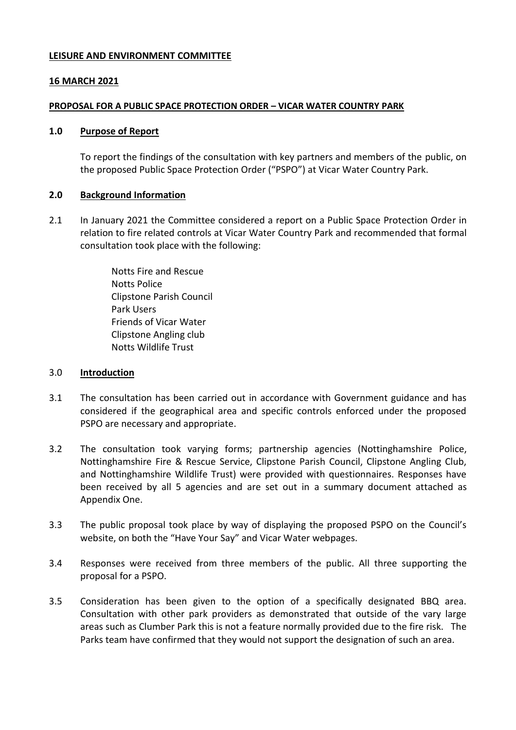### **LEISURE AND ENVIRONMENT COMMITTEE**

### **16 MARCH 2021**

### **PROPOSAL FOR A PUBLIC SPACE PROTECTION ORDER – VICAR WATER COUNTRY PARK**

#### **1.0 Purpose of Report**

To report the findings of the consultation with key partners and members of the public, on the proposed Public Space Protection Order ("PSPO") at Vicar Water Country Park.

### **2.0 Background Information**

2.1 In January 2021 the Committee considered a report on a Public Space Protection Order in relation to fire related controls at Vicar Water Country Park and recommended that formal consultation took place with the following:

> Notts Fire and Rescue Notts Police Clipstone Parish Council Park Users Friends of Vicar Water Clipstone Angling club Notts Wildlife Trust

#### 3.0 **Introduction**

- 3.1 The consultation has been carried out in accordance with Government guidance and has considered if the geographical area and specific controls enforced under the proposed PSPO are necessary and appropriate.
- 3.2 The consultation took varying forms; partnership agencies (Nottinghamshire Police, Nottinghamshire Fire & Rescue Service, Clipstone Parish Council, Clipstone Angling Club, and Nottinghamshire Wildlife Trust) were provided with questionnaires. Responses have been received by all 5 agencies and are set out in a summary document attached as Appendix One.
- 3.3 The public proposal took place by way of displaying the proposed PSPO on the Council's website, on both the "Have Your Say" and Vicar Water webpages.
- 3.4 Responses were received from three members of the public. All three supporting the proposal for a PSPO.
- 3.5 Consideration has been given to the option of a specifically designated BBQ area. Consultation with other park providers as demonstrated that outside of the vary large areas such as Clumber Park this is not a feature normally provided due to the fire risk. The Parks team have confirmed that they would not support the designation of such an area.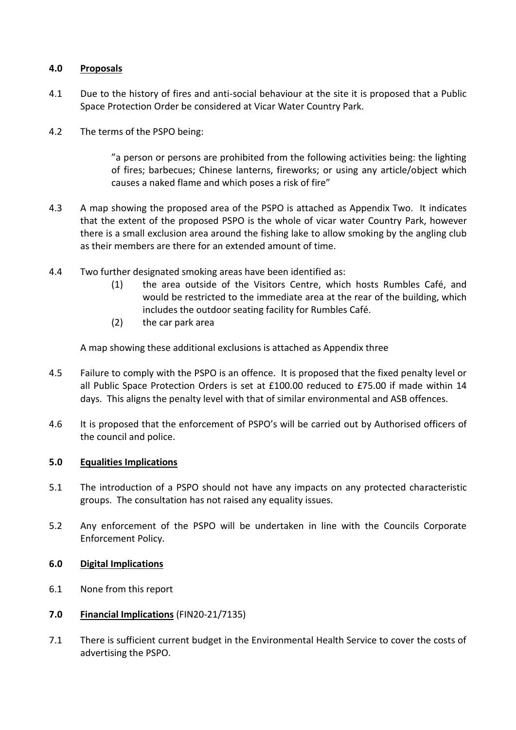# **4.0 Proposals**

- 4.1 Due to the history of fires and anti-social behaviour at the site it is proposed that a Public Space Protection Order be considered at Vicar Water Country Park.
- 4.2 The terms of the PSPO being:

"a person or persons are prohibited from the following activities being: the lighting of fires; barbecues; Chinese lanterns, fireworks; or using any article/object which causes a naked flame and which poses a risk of fire"

- 4.3 A map showing the proposed area of the PSPO is attached as Appendix Two. It indicates that the extent of the proposed PSPO is the whole of vicar water Country Park, however there is a small exclusion area around the fishing lake to allow smoking by the angling club as their members are there for an extended amount of time.
- 4.4 Two further designated smoking areas have been identified as:
	- (1) the area outside of the Visitors Centre, which hosts Rumbles Café, and would be restricted to the immediate area at the rear of the building, which includes the outdoor seating facility for Rumbles Café.
	- (2) the car park area

A map showing these additional exclusions is attached as Appendix three

- 4.5 Failure to comply with the PSPO is an offence. It is proposed that the fixed penalty level or all Public Space Protection Orders is set at £100.00 reduced to £75.00 if made within 14 days. This aligns the penalty level with that of similar environmental and ASB offences.
- 4.6 It is proposed that the enforcement of PSPO's will be carried out by Authorised officers of the council and police.

## **5.0 Equalities Implications**

- 5.1 The introduction of a PSPO should not have any impacts on any protected characteristic groups. The consultation has not raised any equality issues.
- 5.2 Any enforcement of the PSPO will be undertaken in line with the Councils Corporate Enforcement Policy.

## **6.0 Digital Implications**

- 6.1 None from this report
- **7.0 Financial Implications** (FIN20-21/7135)
- 7.1 There is sufficient current budget in the Environmental Health Service to cover the costs of advertising the PSPO.